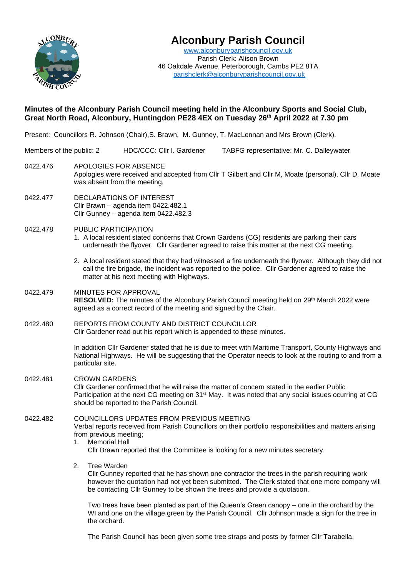

# **Alconbury Parish Council**

[www.alconburyparishcouncil.gov.uk](http://www.alconburyparishcouncil.gov.uk/) Parish Clerk: Alison Brown 46 Oakdale Avenue, Peterborough, Cambs PE2 8TA [parishclerk@alconburyparishcouncil.gov.uk](mailto:parishclerk@alconburyparishcouncil.gov.uk)

## **Minutes of the Alconbury Parish Council meeting held in the Alconbury Sports and Social Club, Great North Road, Alconbury, Huntingdon PE28 4EX on Tuesday 26th April 2022 at 7.30 pm**

Present: Councillors R. Johnson (Chair), S. Brawn, M. Gunney, T. MacLennan and Mrs Brown (Clerk).

| Members of the public: 2 |                                                                                                                                                                                                                                                                                                |                                                                                                                                                                                                                                                                                        | HDC/CCC: Cllr I. Gardener |  | TABFG representative: Mr. C. Dalleywater                                                                                                                                                                                                                                  |  |  |
|--------------------------|------------------------------------------------------------------------------------------------------------------------------------------------------------------------------------------------------------------------------------------------------------------------------------------------|----------------------------------------------------------------------------------------------------------------------------------------------------------------------------------------------------------------------------------------------------------------------------------------|---------------------------|--|---------------------------------------------------------------------------------------------------------------------------------------------------------------------------------------------------------------------------------------------------------------------------|--|--|
| 0422.476                 |                                                                                                                                                                                                                                                                                                | APOLOGIES FOR ABSENCE<br>Apologies were received and accepted from CIIr T Gilbert and CIIr M, Moate (personal). CIIr D. Moate<br>was absent from the meeting.                                                                                                                          |                           |  |                                                                                                                                                                                                                                                                           |  |  |
| 0422.477                 |                                                                                                                                                                                                                                                                                                | DECLARATIONS OF INTEREST<br>Cllr Brawn - agenda item 0422.482.1<br>Cllr Gunney - agenda item 0422.482.3                                                                                                                                                                                |                           |  |                                                                                                                                                                                                                                                                           |  |  |
| 0422.478                 | PUBLIC PARTICIPATION<br>1. A local resident stated concerns that Crown Gardens (CG) residents are parking their cars<br>underneath the flyover. Cllr Gardener agreed to raise this matter at the next CG meeting.                                                                              |                                                                                                                                                                                                                                                                                        |                           |  |                                                                                                                                                                                                                                                                           |  |  |
|                          | 2. A local resident stated that they had witnessed a fire underneath the flyover. Although they did not<br>call the fire brigade, the incident was reported to the police. Cllr Gardener agreed to raise the<br>matter at his next meeting with Highways.                                      |                                                                                                                                                                                                                                                                                        |                           |  |                                                                                                                                                                                                                                                                           |  |  |
| 0422.479                 |                                                                                                                                                                                                                                                                                                | <b>MINUTES FOR APPROVAL</b><br>RESOLVED: The minutes of the Alconbury Parish Council meeting held on 29 <sup>th</sup> March 2022 were<br>agreed as a correct record of the meeting and signed by the Chair.                                                                            |                           |  |                                                                                                                                                                                                                                                                           |  |  |
| 0422.480                 | REPORTS FROM COUNTY AND DISTRICT COUNCILLOR<br>Cllr Gardener read out his report which is appended to these minutes.                                                                                                                                                                           |                                                                                                                                                                                                                                                                                        |                           |  |                                                                                                                                                                                                                                                                           |  |  |
|                          | In addition Cllr Gardener stated that he is due to meet with Maritime Transport, County Highways and<br>National Highways. He will be suggesting that the Operator needs to look at the routing to and from a<br>particular site.                                                              |                                                                                                                                                                                                                                                                                        |                           |  |                                                                                                                                                                                                                                                                           |  |  |
| 0422.481                 |                                                                                                                                                                                                                                                                                                | <b>CROWN GARDENS</b><br>CIIr Gardener confirmed that he will raise the matter of concern stated in the earlier Public<br>Participation at the next CG meeting on 31 <sup>st</sup> May. It was noted that any social issues ocurring at CG<br>should be reported to the Parish Council. |                           |  |                                                                                                                                                                                                                                                                           |  |  |
| 0422.482                 | COUNCILLORS UPDATES FROM PREVIOUS MEETING<br>Verbal reports received from Parish Councillors on their portfolio responsibilities and matters arising<br>from previous meeting;<br><b>Memorial Hall</b><br>1.<br>CIIr Brawn reported that the Committee is looking for a new minutes secretary. |                                                                                                                                                                                                                                                                                        |                           |  |                                                                                                                                                                                                                                                                           |  |  |
|                          |                                                                                                                                                                                                                                                                                                |                                                                                                                                                                                                                                                                                        |                           |  |                                                                                                                                                                                                                                                                           |  |  |
|                          | 2.                                                                                                                                                                                                                                                                                             | <b>Tree Warden</b>                                                                                                                                                                                                                                                                     |                           |  | CIIr Gunney reported that he has shown one contractor the trees in the parish requiring work<br>however the quotation had not yet been submitted. The Clerk stated that one more company will<br>be contacting Cllr Gunney to be shown the trees and provide a quotation. |  |  |
|                          |                                                                                                                                                                                                                                                                                                | the orchard.                                                                                                                                                                                                                                                                           |                           |  | Two trees have been planted as part of the Queen's Green canopy – one in the orchard by the<br>WI and one on the village green by the Parish Council. Cllr Johnson made a sign for the tree in                                                                            |  |  |

The Parish Council has been given some tree straps and posts by former Cllr Tarabella.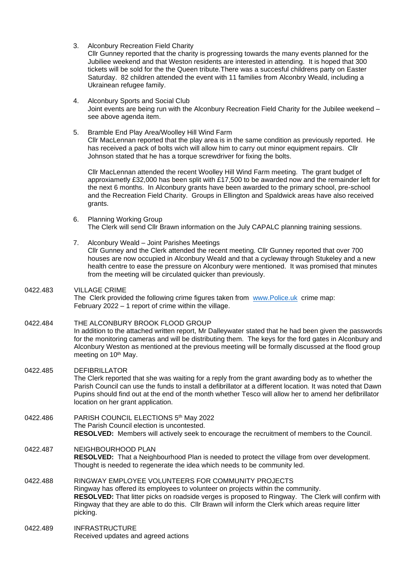3. Alconbury Recreation Field Charity

Cllr Gunney reported that the charity is progressing towards the many events planned for the Jubiliee weekend and that Weston residents are interested in attending. It is hoped that 300 tickets will be sold for the the Queen tribute.There was a succesful childrens party on Easter Saturday. 82 children attended the event with 11 families from Alconbry Weald, including a Ukrainean refugee family.

- 4. Alconbury Sports and Social Club Joint events are being run with the Alconbury Recreation Field Charity for the Jubilee weekend – see above agenda item.
- 5. Bramble End Play Area/Woolley Hill Wind Farm Cllr MacLennan reported that the play area is in the same condition as previously reported. He has received a pack of bolts wich will allow him to carry out minor equipment repairs. Cllr Johnson stated that he has a torque screwdriver for fixing the bolts.

Cllr MacLennan attended the recent Woolley Hill Wind Farm meeting. The grant budget of approxiametly £32,000 has been split with £17,500 to be awarded now and the remainder left for the next 6 months. In Alconbury grants have been awarded to the primary school, pre-school and the Recreation Field Charity. Groups in Ellington and Spaldwick areas have also received grants.

- 6. Planning Working Group The Clerk will send Cllr Brawn information on the July CAPALC planning training sessions.
- 7. Alconbury Weald Joint Parishes Meetings Cllr Gunney and the Clerk attended the recent meeting. Cllr Gunney reported that over 700 houses are now occupied in Alconbury Weald and that a cycleway through Stukeley and a new health centre to ease the pressure on Alconbury were mentioned. It was promised that minutes from the meeting will be circulated quicker than previously.

#### 0422.483 VILLAGE CRIME The Clerk provided the following crime figures taken from [www.Police.uk](http://www.police.uk/) crime map: February 2022 – 1 report of crime within the village.

#### 0422.484 THE ALCONBURY BROOK FLOOD GROUP In addition to the attached written report, Mr Dalleywater stated that he had been given the passwords for the monitoring cameras and will be distributing them. The keys for the ford gates in Alconbury and Alconbury Weston as mentioned at the previous meeting will be formally discussed at the flood group meeting on 10<sup>th</sup> May.

- 0422.485 DEFIBRILLATOR The Clerk reported that she was waiting for a reply from the grant awarding body as to whether the Parish Council can use the funds to install a defibrillator at a different location. It was noted that Dawn Pupins should find out at the end of the month whether Tesco will allow her to amend her defibrillator location on her grant application.
- 0422.486 PARISH COUNCIL ELECTIONS 5<sup>th</sup> May 2022 The Parish Council election is uncontested. **RESOLVED:** Members will actively seek to encourage the recruitment of members to the Council.

## 0422.487 NEIGHBOURHOOD PLAN

- **RESOLVED:** That a Neighbourhood Plan is needed to protect the village from over development. Thought is needed to regenerate the idea which needs to be community led.
- 0422.488 RINGWAY EMPLOYEE VOLUNTEERS FOR COMMUNITY PROJECTS Ringway has offered its employees to volunteer on projects within the community. **RESOLVED:** That litter picks on roadside verges is proposed to Ringway. The Clerk will confirm with Ringway that they are able to do this. Cllr Brawn will inform the Clerk which areas require litter picking.
- 0422.489 INFRASTRUCTURE Received updates and agreed actions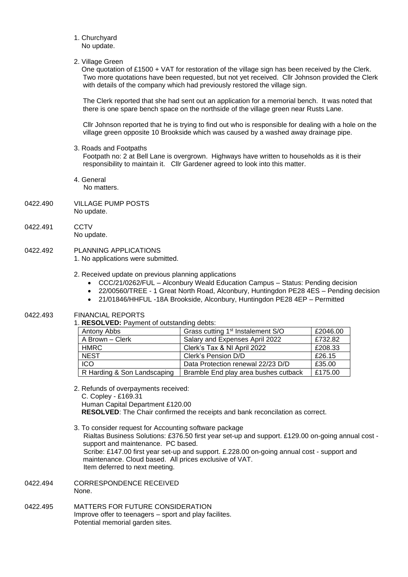- 1. Churchyard No update.
- 2. Village Green

 One quotation of £1500 + VAT for restoration of the village sign has been received by the Clerk. Two more quotations have been requested, but not yet received. Cllr Johnson provided the Clerk with details of the company which had previously restored the village sign.

The Clerk reported that she had sent out an application for a memorial bench. It was noted that there is one spare bench space on the northside of the village green near Rusts Lane.

Cllr Johnson reported that he is trying to find out who is responsible for dealing with a hole on the village green opposite 10 Brookside which was caused by a washed away drainage pipe.

3. Roads and Footpaths

Footpath no: 2 at Bell Lane is overgrown. Highways have written to households as it is their responsibility to maintain it. Cllr Gardener agreed to look into this matter.

- 4. General No matters.
- 0422.490 VILLAGE PUMP POSTS No update.
- 0422.491 CCTV No update.
- 0422.492 PLANNING APPLICATIONS
	- 1. No applications were submitted.
	- 2. Received update on previous planning applications
		- CCC/21/0262/FUL Alconbury Weald Education Campus Status: Pending decision
		- 22/00560/TREE 1 Great North Road, Alconbury, Huntingdon PE28 4ES Pending decision
		- 21/01846/HHFUL -18A Brookside, Alconbury, Huntingdon PE28 4EP Permitted

### 0422.493 FINANCIAL REPORTS

1. **RESOLVED:** Payment of outstanding debts:

| Antony Abbs                 | Grass cutting 1 <sup>st</sup> Instalement S/O | £2046.00 |
|-----------------------------|-----------------------------------------------|----------|
| A Brown - Clerk             | Salary and Expenses April 2022                | £732.82  |
| HMRC                        | Clerk's Tax & NI April 2022                   | £208.33  |
| <b>NEST</b>                 | Clerk's Pension D/D                           | £26.15   |
| <b>ICO</b>                  | Data Protection renewal 22/23 D/D             | £35.00   |
| R Harding & Son Landscaping | Bramble End play area bushes cutback          | £175.00  |

- 2. Refunds of overpayments received: C. Copley - £169.31 Human Capital Department £120.00  **RESOLVED**: The Chair confirmed the receipts and bank reconcilation as correct.
- 3. To consider request for Accounting software package Rialtas Business Solutions: £376.50 first year set-up and support. £129.00 on-going annual cost support and maintenance. PC based. Scribe: £147.00 first year set-up and support. £.228.00 on-going annual cost - support and maintenance. Cloud based. All prices exclusive of VAT. Item deferred to next meeting.
- 0422.494 CORRESPONDENCE RECEIVED None.
- 0422.495 MATTERS FOR FUTURE CONSIDERATION Improve offer to teenagers – sport and play facilites. Potential memorial garden sites.